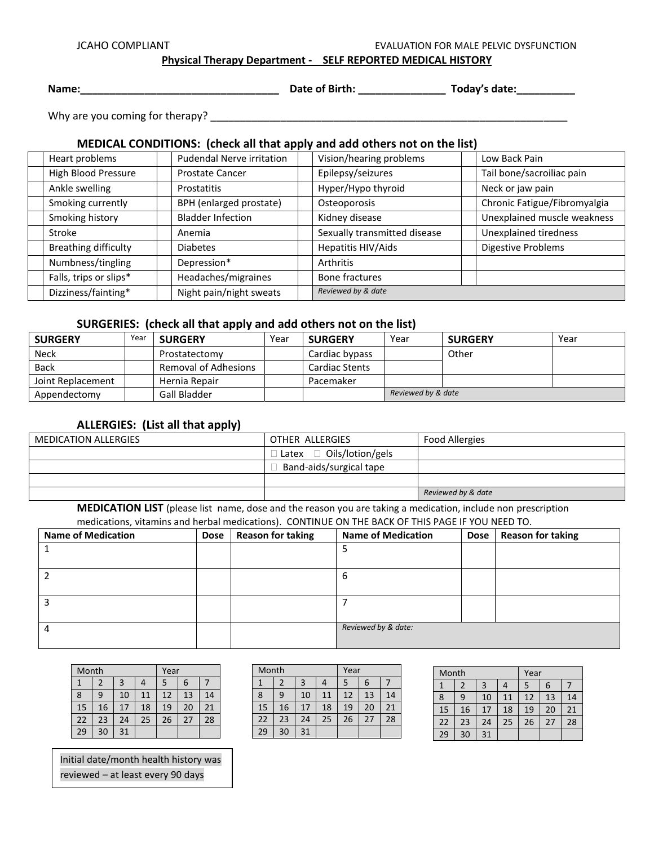JCAHO COMPLIANT **EVALUATION FOR MALE PELVIC DYSFUNCTION** 

**Physical Therapy Department - SELF REPORTED MEDICAL HISTORY** 

**Name:\_\_\_\_\_\_\_\_\_\_\_\_\_\_\_\_\_\_\_\_\_\_\_\_\_\_\_\_\_\_\_\_\_\_ Date of Birth: \_\_\_\_\_\_\_\_\_\_\_\_\_\_\_ Today's date:\_\_\_\_\_\_\_\_\_\_**

Why are you coming for therapy? \_\_\_\_\_\_\_\_\_\_\_\_\_\_\_\_\_\_\_\_\_\_\_\_\_\_\_\_\_\_\_\_\_\_\_\_\_\_\_\_\_\_\_\_\_\_\_\_\_\_\_\_\_\_\_\_\_\_\_\_\_

### **MEDICAL CONDITIONS: (check all that apply and add others not on the list)**

| Heart problems              | <b>Pudendal Nerve irritation</b> | Vision/hearing problems      | Low Back Pain                |
|-----------------------------|----------------------------------|------------------------------|------------------------------|
| High Blood Pressure         | <b>Prostate Cancer</b>           | Epilepsy/seizures            | Tail bone/sacroiliac pain    |
| Ankle swelling              | Prostatitis                      | Hyper/Hypo thyroid           | Neck or jaw pain             |
| Smoking currently           | BPH (enlarged prostate)          | Osteoporosis                 | Chronic Fatigue/Fibromyalgia |
| Smoking history             | <b>Bladder Infection</b>         | Kidney disease               | Unexplained muscle weakness  |
| Stroke                      | Anemia                           | Sexually transmitted disease | Unexplained tiredness        |
| <b>Breathing difficulty</b> | <b>Diabetes</b>                  | Hepatitis HIV/Aids           | <b>Digestive Problems</b>    |
| Numbness/tingling           | Depression*                      | Arthritis                    |                              |
| Falls, trips or slips*      | Headaches/migraines              | Bone fractures               |                              |
| Dizziness/fainting*         | Night pain/night sweats          | Reviewed by & date           |                              |

### **SURGERIES: (check all that apply and add others not on the list)**

 $\blacksquare$ 

| <b>SURGERY</b>    | Year | <b>SURGERY</b>       | Year | <b>SURGERY</b>        | Year               | <b>SURGERY</b> | Year |
|-------------------|------|----------------------|------|-----------------------|--------------------|----------------|------|
| <b>Neck</b>       |      | Prostatectomy        |      | Cardiac bypass        |                    | Other          |      |
| <b>Back</b>       |      | Removal of Adhesions |      | <b>Cardiac Stents</b> |                    |                |      |
| Joint Replacement |      | Hernia Repair        |      | Pacemaker             |                    |                |      |
| Appendectomy      |      | Gall Bladder         |      |                       | Reviewed by & date |                |      |

### **ALLERGIES: (List all that apply)**

| <b>MEDICATION ALLERGIES</b> | OTHER ALLERGIES                      | <b>Food Allergies</b> |
|-----------------------------|--------------------------------------|-----------------------|
|                             | $\Box$ Latex $\Box$ Oils/lotion/gels |                       |
|                             | Band-aids/surgical tape              |                       |
|                             |                                      |                       |
|                             |                                      | Reviewed by & date    |

**MEDICATION LIST** (please list name, dose and the reason you are taking a medication, include non prescription medications, vitamins and herbal medications). CONTINUE ON THE BACK OF THIS PAGE IF YOU NEED TO.

| <b>Name of Medication</b> | <b>Dose</b> | <b>Reason for taking</b> | <b>Name of Medication</b> | <b>Dose</b> | <b>Reason for taking</b> |
|---------------------------|-------------|--------------------------|---------------------------|-------------|--------------------------|
|                           |             |                          |                           |             |                          |
|                           |             |                          |                           |             |                          |
|                           |             |                          | ь                         |             |                          |
|                           |             |                          |                           |             |                          |
|                           |             |                          |                           |             |                          |
|                           |             |                          |                           |             |                          |
|                           |             |                          | Reviewed by & date:       |             |                          |
|                           |             |                          |                           |             |                          |

| Month |    |    | Year |    |    |    |
|-------|----|----|------|----|----|----|
| 1     |    | 3  | 4    | 5  | 6  |    |
| 8     | 9  | 10 | 11   | 12 | 13 | 14 |
| 15    | 16 | 17 | 18   | 19 | 20 | 21 |
| 22    | 23 | 24 | 25   | 26 | 27 | 28 |
| 29    | 30 | 31 |      |    |    |    |

| Month |    |    | Year |    |    |    |
|-------|----|----|------|----|----|----|
|       |    | 3  |      | 5  | 6  |    |
| 8     | 9  | 10 | 11   | 12 | 13 | 14 |
| 15    | 16 | 17 | 18   | 19 | 20 | 21 |
| 22    | 23 | 24 | 25   | 26 | 27 | 28 |
| 29    | 30 | 31 |      |    |    |    |

| Month |    |    | Year |    |    |    |
|-------|----|----|------|----|----|----|
|       |    | 3  |      | 5  | 6  |    |
| 8     | 9  | 10 | 11   | 12 | 13 | 14 |
| 15    | 16 | 17 | 18   | 19 | 20 | 21 |
| 22    | 23 | 24 | 25   | 26 | 27 | 28 |
| 29    | 30 | 31 |      |    |    |    |

Initial date/month health history was reviewed – at least every 90 days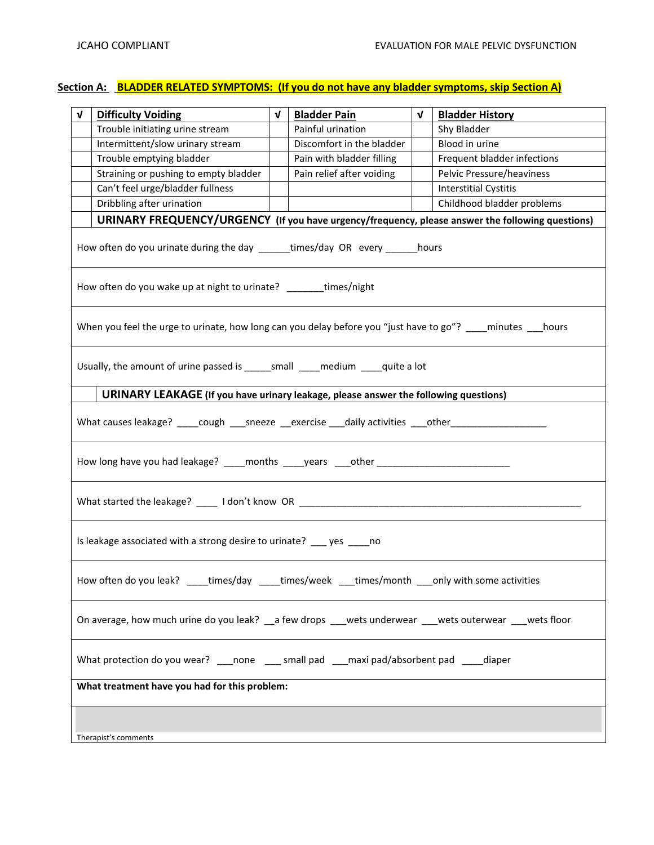## Section A: BLADDER RELATED SYMPTOMS: (If you do not have any bladder symptoms, skip Section A)

| $\mathbf{v}$ | <b>Difficulty Voiding</b>                                                                                      | $\mathbf{v}$ | <b>Bladder Pain</b>       | $\mathbf{V}$ | <b>Bladder History</b>       |  |
|--------------|----------------------------------------------------------------------------------------------------------------|--------------|---------------------------|--------------|------------------------------|--|
|              | Trouble initiating urine stream                                                                                |              | Painful urination         |              | Shy Bladder                  |  |
|              | Intermittent/slow urinary stream                                                                               |              | Discomfort in the bladder |              | Blood in urine               |  |
|              | Trouble emptying bladder                                                                                       |              | Pain with bladder filling |              | Frequent bladder infections  |  |
|              | Straining or pushing to empty bladder                                                                          |              | Pain relief after voiding |              | Pelvic Pressure/heaviness    |  |
|              | Can't feel urge/bladder fullness                                                                               |              |                           |              | <b>Interstitial Cystitis</b> |  |
|              | Childhood bladder problems<br>Dribbling after urination                                                        |              |                           |              |                              |  |
|              | URINARY FREQUENCY/URGENCY (If you have urgency/frequency, please answer the following questions)               |              |                           |              |                              |  |
|              | How often do you urinate during the day ______times/day OR every ______ hours                                  |              |                           |              |                              |  |
|              | How often do you wake up at night to urinate? ______times/night                                                |              |                           |              |                              |  |
|              | When you feel the urge to urinate, how long can you delay before you "just have to go"? ___ minutes __ hours   |              |                           |              |                              |  |
|              | Usually, the amount of urine passed is ______ small _____ medium ____ quite a lot                              |              |                           |              |                              |  |
|              | URINARY LEAKAGE (If you have urinary leakage, please answer the following questions)                           |              |                           |              |                              |  |
|              | What causes leakage? _____cough _____sneeze ____exercise ____daily activities ____other_______________________ |              |                           |              |                              |  |
|              | How long have you had leakage? ____months ____years ____other ___________________                              |              |                           |              |                              |  |
|              | What started the leakage? _____ I don't know OR ________________________________                               |              |                           |              |                              |  |
|              | Is leakage associated with a strong desire to urinate? ___ yes ____ no                                         |              |                           |              |                              |  |
|              | How often do you leak? ____times/day ____times/week ___times/month ___only with some activities                |              |                           |              |                              |  |
|              | On average, how much urine do you leak? __ a few drops ___wets underwear ___wets outerwear ___wets floor       |              |                           |              |                              |  |
|              | What protection do you wear? ____none _____ small pad ____maxi pad/absorbent pad _____diaper                   |              |                           |              |                              |  |
|              | What treatment have you had for this problem:                                                                  |              |                           |              |                              |  |
|              |                                                                                                                |              |                           |              |                              |  |
|              | Therapist's comments                                                                                           |              |                           |              |                              |  |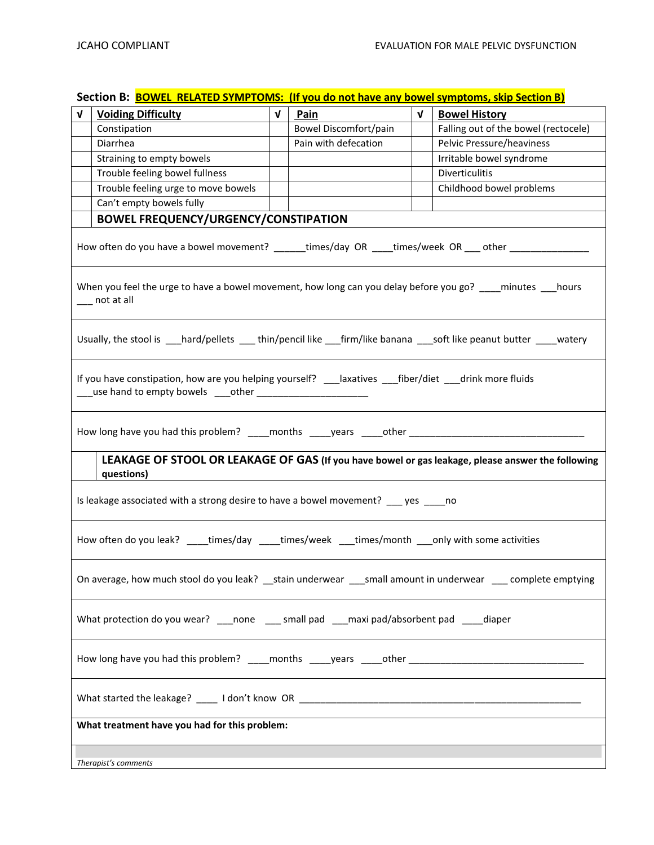# **Section B: BOWEL RELATED SYMPTOMS: (If you do not have any bowel symptoms, skip Section B)**

| V                                                                                                    | <b>Voiding Difficulty</b>                                                                                                      | $\mathbf{v}$ | Pain                         | $\mathbf{v}$ | <b>Bowel History</b>                 |
|------------------------------------------------------------------------------------------------------|--------------------------------------------------------------------------------------------------------------------------------|--------------|------------------------------|--------------|--------------------------------------|
|                                                                                                      | Constipation                                                                                                                   |              | <b>Bowel Discomfort/pain</b> |              | Falling out of the bowel (rectocele) |
|                                                                                                      | Diarrhea                                                                                                                       |              | Pain with defecation         |              | Pelvic Pressure/heaviness            |
|                                                                                                      | Straining to empty bowels                                                                                                      |              |                              |              | Irritable bowel syndrome             |
|                                                                                                      | Trouble feeling bowel fullness                                                                                                 |              |                              |              | <b>Diverticulitis</b>                |
|                                                                                                      | Trouble feeling urge to move bowels                                                                                            |              |                              |              | Childhood bowel problems             |
|                                                                                                      | Can't empty bowels fully                                                                                                       |              |                              |              |                                      |
|                                                                                                      | <b>BOWEL FREQUENCY/URGENCY/CONSTIPATION</b>                                                                                    |              |                              |              |                                      |
|                                                                                                      | How often do you have a bowel movement? ______times/day OR ____times/week OR ___ other ___ _________                           |              |                              |              |                                      |
|                                                                                                      | When you feel the urge to have a bowel movement, how long can you delay before you go? ____minutes ___hours<br>____ not at all |              |                              |              |                                      |
|                                                                                                      | Usually, the stool is ___hard/pellets ___thin/pencil like ___firm/like banana ___soft like peanut butter ____watery            |              |                              |              |                                      |
|                                                                                                      |                                                                                                                                |              |                              |              |                                      |
|                                                                                                      | How long have you had this problem? ____months ____years ____other _________________________________                           |              |                              |              |                                      |
|                                                                                                      | LEAKAGE OF STOOL OR LEAKAGE OF GAS (If you have bowel or gas leakage, please answer the following<br>questions)                |              |                              |              |                                      |
|                                                                                                      | Is leakage associated with a strong desire to have a bowel movement? ___ yes ____ no                                           |              |                              |              |                                      |
|                                                                                                      | How often do you leak? ____times/day ____times/week ___times/month ___only with some activities                                |              |                              |              |                                      |
|                                                                                                      | On average, how much stool do you leak? __stain underwear ___small amount in underwear ___ complete emptying                   |              |                              |              |                                      |
|                                                                                                      | What protection do you wear? ____ none _____ small pad ___maxi pad/absorbent pad ____diaper                                    |              |                              |              |                                      |
| How long have you had this problem? ____months ____years ____other _________________________________ |                                                                                                                                |              |                              |              |                                      |
|                                                                                                      |                                                                                                                                |              |                              |              |                                      |
|                                                                                                      | What treatment have you had for this problem:                                                                                  |              |                              |              |                                      |
|                                                                                                      |                                                                                                                                |              |                              |              |                                      |
|                                                                                                      | Therapist's comments                                                                                                           |              |                              |              |                                      |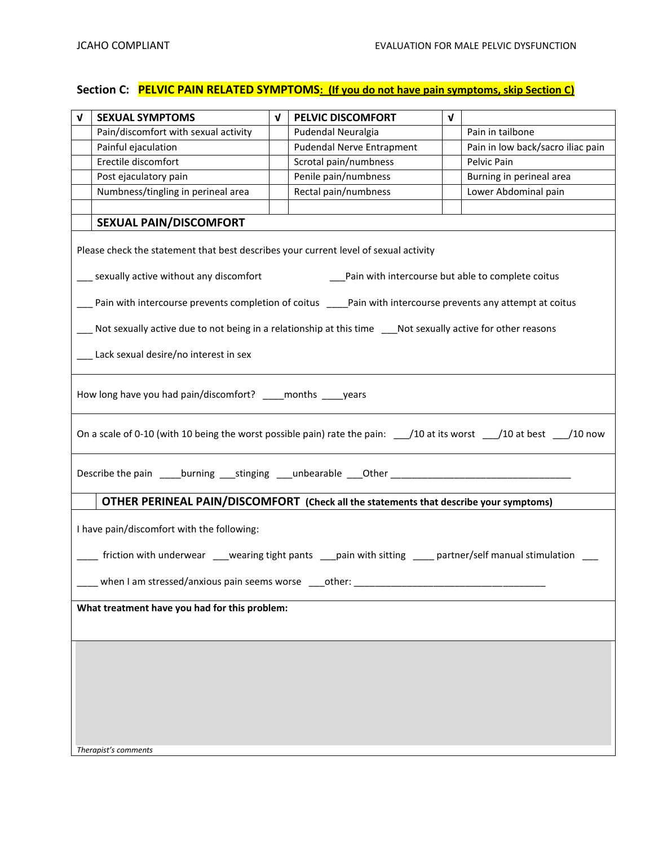# **Section C: PELVIC PAIN RELATED SYMPTOMS: (If you do not have pain symptoms, skip Section C)**

| $\mathbf v$ | <b>SEXUAL SYMPTOMS</b>                                                                                                                                | $\mathbf{v}$ | <b>PELVIC DISCOMFORT</b>         | $\mathbf v$ |                                   |  |  |  |  |
|-------------|-------------------------------------------------------------------------------------------------------------------------------------------------------|--------------|----------------------------------|-------------|-----------------------------------|--|--|--|--|
|             | Pain/discomfort with sexual activity                                                                                                                  |              | Pudendal Neuralgia               |             | Pain in tailbone                  |  |  |  |  |
|             | Painful ejaculation                                                                                                                                   |              | <b>Pudendal Nerve Entrapment</b> |             | Pain in low back/sacro iliac pain |  |  |  |  |
|             | Erectile discomfort                                                                                                                                   |              | Scrotal pain/numbness            |             | Pelvic Pain                       |  |  |  |  |
|             | Post ejaculatory pain                                                                                                                                 |              | Penile pain/numbness             |             | Burning in perineal area          |  |  |  |  |
|             | Numbness/tingling in perineal area                                                                                                                    |              | Rectal pain/numbness             |             | Lower Abdominal pain              |  |  |  |  |
|             |                                                                                                                                                       |              |                                  |             |                                   |  |  |  |  |
|             | <b>SEXUAL PAIN/DISCOMFORT</b>                                                                                                                         |              |                                  |             |                                   |  |  |  |  |
|             | Please check the statement that best describes your current level of sexual activity                                                                  |              |                                  |             |                                   |  |  |  |  |
|             | __ sexually active without any discomfort<br>__ Pain with intercourse but able to complete coitus                                                     |              |                                  |             |                                   |  |  |  |  |
|             | Pain with intercourse prevents completion of coitus ____Pain with intercourse prevents any attempt at coitus                                          |              |                                  |             |                                   |  |  |  |  |
|             | Not sexually active due to not being in a relationship at this time ___Not sexually active for other reasons                                          |              |                                  |             |                                   |  |  |  |  |
|             | __ Lack sexual desire/no interest in sex                                                                                                              |              |                                  |             |                                   |  |  |  |  |
|             | How long have you had pain/discomfort? ____ months ____ years                                                                                         |              |                                  |             |                                   |  |  |  |  |
|             | On a scale of 0-10 (with 10 being the worst possible pain) rate the pain: $\frac{1}{2}$ 10 at its worst $\frac{1}{2}$ 10 at best $\frac{1}{2}$ 10 now |              |                                  |             |                                   |  |  |  |  |
|             | Describe the pain _____burning ____stinging ____unbearable ____Other _______________________________                                                  |              |                                  |             |                                   |  |  |  |  |
|             | OTHER PERINEAL PAIN/DISCOMFORT (Check all the statements that describe your symptoms)                                                                 |              |                                  |             |                                   |  |  |  |  |
|             | I have pain/discomfort with the following:                                                                                                            |              |                                  |             |                                   |  |  |  |  |
|             | friction with underwear ___wearing tight pants ___pain with sitting ____ partner/self manual stimulation                                              |              |                                  |             |                                   |  |  |  |  |
|             | when I am stressed/anxious pain seems worse                                                                                                           |              | other:                           |             |                                   |  |  |  |  |
|             | What treatment have you had for this problem:                                                                                                         |              |                                  |             |                                   |  |  |  |  |
|             |                                                                                                                                                       |              |                                  |             |                                   |  |  |  |  |
|             |                                                                                                                                                       |              |                                  |             |                                   |  |  |  |  |
|             |                                                                                                                                                       |              |                                  |             |                                   |  |  |  |  |
|             |                                                                                                                                                       |              |                                  |             |                                   |  |  |  |  |
|             |                                                                                                                                                       |              |                                  |             |                                   |  |  |  |  |
|             |                                                                                                                                                       |              |                                  |             |                                   |  |  |  |  |
|             |                                                                                                                                                       |              |                                  |             |                                   |  |  |  |  |
|             |                                                                                                                                                       |              |                                  |             |                                   |  |  |  |  |
|             | Therapist's comments                                                                                                                                  |              |                                  |             |                                   |  |  |  |  |